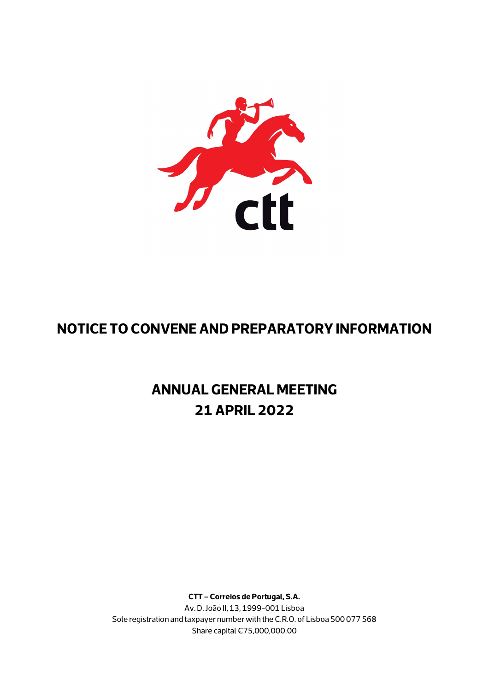

## **NOTICE TO CONVENE AND PREPARATORY INFORMATION**

# **ANNUAL GENERAL MEETING 21 APRIL 2022**

**CTT – Correios de Portugal, S.A.** Av. D. João II, 13, 1999-001 Lisboa Sole registration and taxpayer number with the C.R.O. of Lisboa 500 077 568 Share capital €75,000,000.00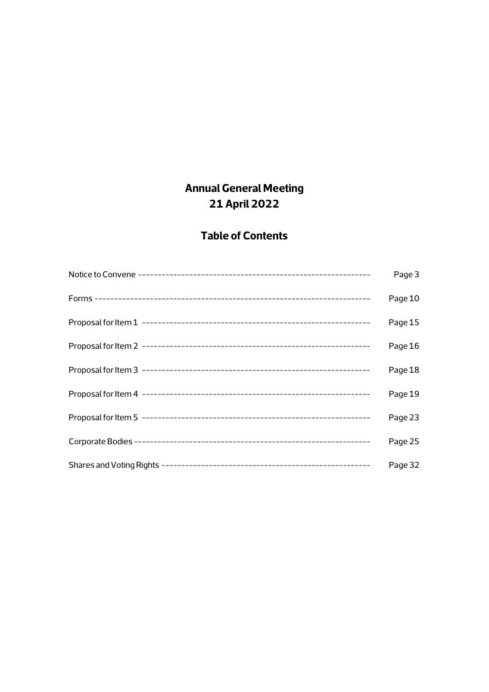## **Annual General Meeting 21 April 2022**

## **Table of Contents**

| Page 3  |
|---------|
| Page 10 |
| Page 15 |
| Page 16 |
| Page 18 |
| Page 19 |
| Page 23 |
| Page 25 |
| Page 32 |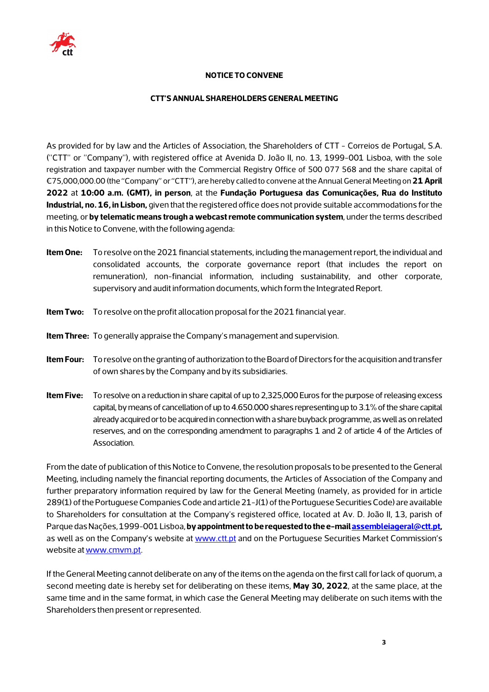

## **NOTICE TO CONVENE**

#### **CTT'S ANNUAL SHAREHOLDERS GENERAL MEETING**

As provided for by law and the Articles of Association, the Shareholders of CTT - Correios de Portugal, S.A. ("CTT" or "Company"), with registered office at Avenida D. João II, no. 13, 1999-001 Lisboa, with the sole registration and taxpayer number with the Commercial Registry Office of 500 077 568 and the share capital of €75,000,000.00 (the "Company" or "CTT"), are hereby called to convene at the Annual General Meeting on**21 April 2022** at **10:00 a.m. (GMT), in person**, at the **Fundação Portuguesa das Comunicações, Rua do Instituto Industrial, no. 16, in Lisbon,** given that the registered office does not provide suitable accommodations for the meeting, or **by telematic means trough a webcast remote communication system**, under the terms described in this Notice to Convene, with the following agenda:

- **Item One:** To resolve on the 2021 financial statements, including the management report, the individual and consolidated accounts, the corporate governance report (that includes the report on remuneration), non-financial information, including sustainability, and other corporate, supervisory and audit information documents, which form the Integrated Report.
- **Item Two:** To resolve on the profit allocation proposal for the 2021 financial year.
- **Item Three:** To generally appraise the Company's management and supervision.
- **Item Four:** To resolve on the granting of authorization to the Board of Directors for the acquisition and transfer of own shares by the Company and by its subsidiaries.
- **Item Five:** To resolve on a reduction in share capital of up to 2,325,000 Euros for the purpose of releasing excess capital, by means of cancellation of up to 4.650.000 shares representing up to 3.1% of the share capital already acquired or to be acquired in connection with a share buyback programme, as well as on related reserves, and on the corresponding amendment to paragraphs 1 and 2 of article 4 of the Articles of Association.

From the date of publication of this Notice to Convene, the resolution proposals to be presented to the General Meeting, including namely the financial reporting documents, the Articles of Association of the Company and further preparatory information required by law for the General Meeting (namely, as provided for in article 289(1) of the Portuguese Companies Code and article 21-J(1) of the Portuguese Securities Code) are available to Shareholders for consultation at the Company's registered office, located at Av. D. João II, 13, parish of Parque das Nações, 1999-001 Lisboa, **by appointment to be requested to the e-mai[l assembleiageral@ctt.pt,](mailto:assembleiageral@ctt.pt)** as well as on the Company's website a[t www.ctt.pt](http://www.ctt.pt/) and on the Portuguese Securities Market Commission's website a[t www.cmvm.pt.](http://www.cmvm.pt/)

If the General Meeting cannot deliberate on any of the items on the agenda on the first call for lack of quorum, a second meeting date is hereby set for deliberating on these items, **May 30, 2022**, at the same place, at the same time and in the same format, in which case the General Meeting may deliberate on such items with the Shareholders then present or represented.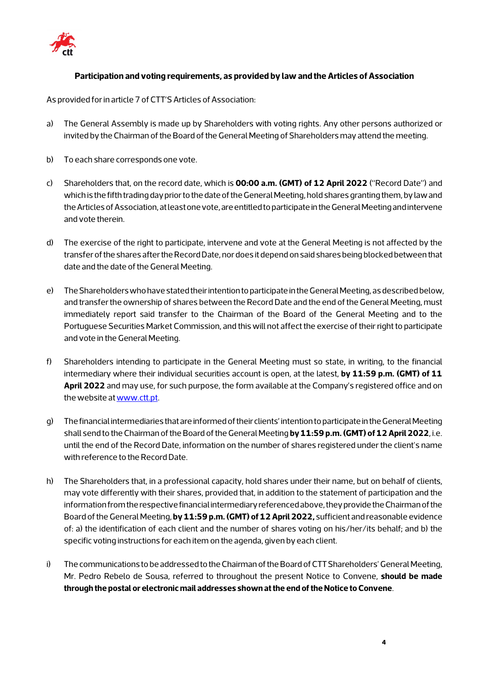

## **Participation and voting requirements, as provided by law and the Articles of Association**

As provided for in article 7 of CTT'S Articles of Association:

- a) The General Assembly is made up by Shareholders with voting rights. Any other persons authorized or invited by the Chairman of the Board of the General Meeting of Shareholders may attend the meeting.
- b) To each share corresponds one vote.
- c) Shareholders that, on the record date, which is **00:00 a.m. (GMT) of 12 April 2022** ("Record Date") and which is the fifth trading day prior to the date of the General Meeting, hold shares granting them, by law and the Articles of Association, at least one vote, are entitled to participate in the General Meeting and intervene and vote therein.
- d) The exercise of the right to participate, intervene and vote at the General Meeting is not affected by the transfer of the shares after the Record Date, nor does it depend on said shares being blocked between that date and the date of the General Meeting.
- e) The Shareholders who have stated their intention to participate in the General Meeting, as described below, and transfer the ownership of shares between the Record Date and the end of the General Meeting, must immediately report said transfer to the Chairman of the Board of the General Meeting and to the Portuguese Securities Market Commission, and this will not affect the exercise of their right to participate and vote in the General Meeting.
- f) Shareholders intending to participate in the General Meeting must so state, in writing, to the financial intermediary where their individual securities account is open, at the latest, **by 11:59 p.m. (GMT) of 11 April 2022** and may use, for such purpose, the form available at the Company's registered office and on the website at www.ctt.pt.
- g) The financial intermediaries that are informed of their clients' intention to participate in the General Meeting shall send to the Chairman of the Board of the General Meeting **by 11:59 p.m. (GMT) of 12 April 2022**, i.e. until the end of the Record Date, information on the number of shares registered under the client's name with reference to the Record Date.
- h) The Shareholders that, in a professional capacity, hold shares under their name, but on behalf of clients, may vote differently with their shares, provided that, in addition to the statement of participation and the information from the respective financial intermediary referenced above, they provide the Chairman of the Board of the General Meeting, **by 11:59 p.m. (GMT) of 12 April 2022,** sufficient and reasonable evidence of: a) the identification of each client and the number of shares voting on his/her/its behalf; and b) the specific voting instructions for each item on the agenda, given by each client.
- i) The communications to be addressed to the Chairman of the Board of CTT Shareholders' General Meeting, Mr. Pedro Rebelo de Sousa, referred to throughout the present Notice to Convene, **should be made through the postal or electronic mail addresses shown at the end of the Notice to Convene**.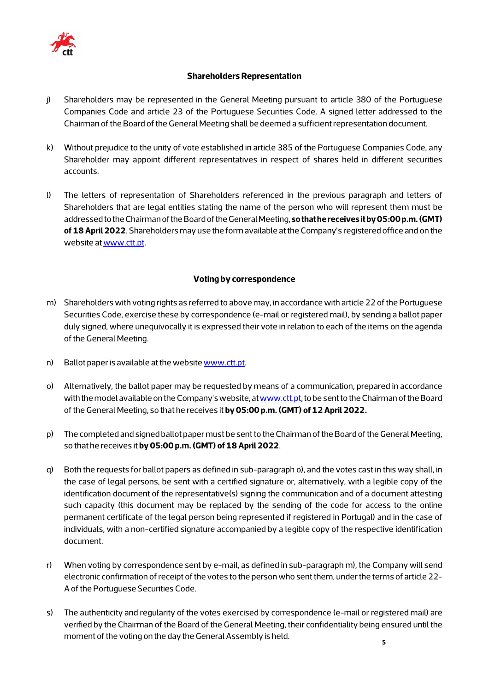

## **Shareholders Representation**

- j) Shareholders may be represented in the General Meeting pursuant to article 380 of the Portuguese Companies Code and article 23 of the Portuguese Securities Code. A signed letter addressed to the Chairman of the Board of the General Meeting shall be deemed a sufficient representation document.
- k) Without prejudice to the unity of vote established in article 385 of the Portuguese Companies Code, any Shareholder may appoint different representatives in respect of shares held in different securities accounts.
- l) The letters of representation of Shareholders referenced in the previous paragraph and letters of Shareholders that are legal entities stating the name of the person who will represent them must be addressed to the Chairman of the Board of the General Meeting, **so that he receives it by 05:00 p.m. (GMT) of 18 April 2022**. Shareholders may use the form available at the Company's registered office and on the website at [www.ctt.pt.](http://www.ctt.pt/)

## **Voting by correspondence**

- m) Shareholders with voting rights as referred to above may, in accordance with article 22 of the Portuguese Securities Code, exercise these by correspondence (e-mail or registered mail), by sending a ballot paper duly signed, where unequivocally it is expressed their vote in relation to each of the items on the agenda of the General Meeting.
- n) Ballot paper is available at the websit[e www.ctt.pt.](http://www.ctt.pt/)
- o) Alternatively, the ballot paper may be requested by means of a communication, prepared in accordance with the model available on the Company's website, a[t www.ctt.pt,](http://www.ctt.pt/) to be sent to the Chairman of the Board of the General Meeting, so that he receives it **by05:00 p.m. (GMT) of 12 April 2022.**
- p) The completed and signed ballot paper must be sent to the Chairman of the Board of the General Meeting, so that he receives it **by 05:00 p.m. (GMT) of 18 April 2022**.
- q) Both the requests for ballot papers as defined in sub-paragraph o), and the votes cast in this way shall, in the case of legal persons, be sent with a certified signature or, alternatively, with a legible copy of the identification document of the representative(s) signing the communication and of a document attesting such capacity (this document may be replaced by the sending of the code for access to the online permanent certificate of the legal person being represented if registered in Portugal) and in the case of individuals, with a non-certified signature accompanied by a legible copy of the respective identification document.
- r) When voting by correspondence sent by e-mail, as defined in sub-paragraph m), the Company will send electronic confirmation of receipt of the votes to the person who sent them, under the terms of article 22- A of the Portuguese Securities Code.
- s) The authenticity and regularity of the votes exercised by correspondence (e-mail or registered mail) are verified by the Chairman of the Board of the General Meeting, their confidentiality being ensured until the moment of the voting on the day the General Assembly is held.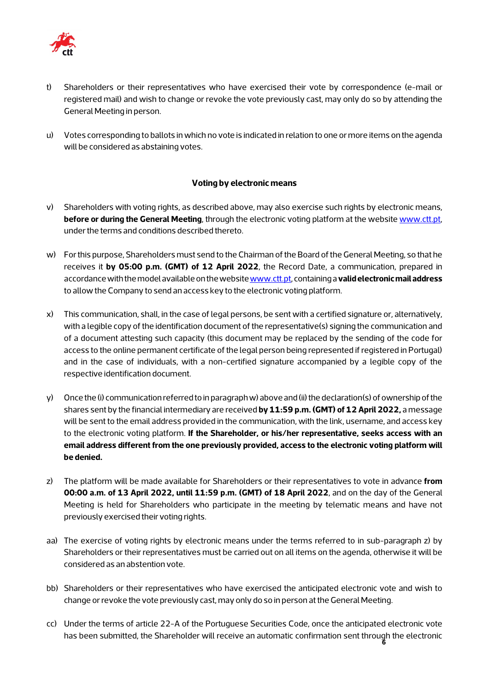

- t) Shareholders or their representatives who have exercised their vote by correspondence (e-mail or registered mail) and wish to change or revoke the vote previously cast, may only do so by attending the General Meeting in person.
- u) Votes corresponding to ballots in which no vote is indicated in relation to one or more items on the agenda will be considered as abstaining votes.

## **Voting by electronic means**

- v) Shareholders with voting rights, as described above, may also exercise such rights by electronic means, **before or during the General Meeting**, through the electronic voting platform at the website www.ctt.pt, under the terms and conditions described thereto.
- w) For this purpose, Shareholders must send to the Chairman of the Board of the General Meeting, so that he receives it **by 05:00 p.m. (GMT) of 12 April 2022**, the Record Date, a communication, prepared in accordance with the model available on the websit[e www.ctt.pt,](http://www.ctt.pt/) containing a **valid electronic mail address** to allow the Company to send an access key to the electronic voting platform.
- x) This communication, shall, in the case of legal persons, be sent with a certified signature or, alternatively, with a legible copy of the identification document of the representative(s) signing the communication and of a document attesting such capacity (this document may be replaced by the sending of the code for access to the online permanent certificate of the legal person being represented if registered in Portugal) and in the case of individuals, with a non-certified signature accompanied by a legible copy of the respective identification document.
- y) Once the (i) communication referred to in paragraph w) above and (ii) the declaration(s) of ownership of the shares sent by the financial intermediary are received **by 11:59 p.m. (GMT) of 12 April 2022,** a message will be sent to the email address provided in the communication, with the link, username, and access key to the electronic voting platform. **If the Shareholder, or his/her representative, seeks access with an email address different from the one previously provided, access to the electronic voting platform will be denied.**
- z) The platform will be made available for Shareholders or their representatives to vote in advance **from 00:00 a.m. of 13 April 2022, until 11:59 p.m. (GMT) of 18 April 2022**, and on the day of the General Meeting is held for Shareholders who participate in the meeting by telematic means and have not previously exercised their voting rights.
- aa) The exercise of voting rights by electronic means under the terms referred to in sub-paragraph z) by Shareholders or their representatives must be carried out on all items on the agenda, otherwise it will be considered as an abstention vote.
- bb) Shareholders or their representatives who have exercised the anticipated electronic vote and wish to change or revoke the vote previously cast, may only do so in person at the General Meeting.
- **6** has been submitted, the Shareholder will receive an automatic confirmation sent through the electronic cc) Under the terms of article 22-A of the Portuguese Securities Code, once the anticipated electronic vote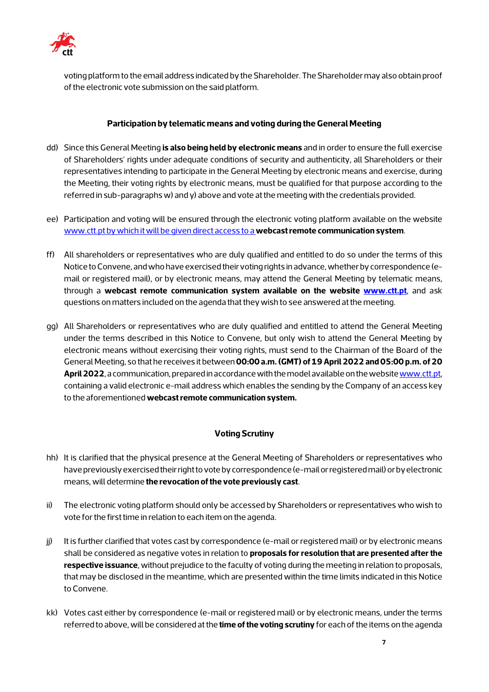

voting platform to the email address indicated by the Shareholder. The Shareholder may also obtain proof of the electronic vote submission on the said platform.

## **Participation by telematic means and voting during the General Meeting**

- dd) Since this General Meeting **is also being held by electronic means** and in order to ensure the full exercise of Shareholders' rights under adequate conditions of security and authenticity, all Shareholders or their representatives intending to participate in the General Meeting by electronic means and exercise, during the Meeting, their voting rights by electronic means, must be qualified for that purpose according to the referred in sub-paragraphs w) and y) above and vote at the meeting with the credentials provided.
- ee) Participation and voting will be ensured through the electronic voting platform available on the website [www.ctt.pt](http://www.ctt.pt/) by which it will be given direct access to a **webcast remote communication system**.
- ff) All shareholders or representatives who are duly qualified and entitled to do so under the terms of this Notice to Convene, and who have exercised their voting rights in advance, whether by correspondence (email or registered mail), or by electronic means, may attend the General Meeting by telematic means, through a **webcast remote communication system available on the website [www.ctt.pt](http://www.ctt.pt/)**, and ask questions on matters included on the agenda that they wish to see answered at the meeting.
- gg) All Shareholders or representatives who are duly qualified and entitled to attend the General Meeting under the terms described in this Notice to Convene, but only wish to attend the General Meeting by electronic means without exercising their voting rights, must send to the Chairman of the Board of the General Meeting, so that he receives it between **00:00 a.m. (GMT) of 19 April 2022 and 05:00 p.m. of 20 April 2022**, a communication, prepared in accordance with the model available on the websit[e www.ctt.pt,](http://www.ctt.pt/)  containing a valid electronic e-mail address which enables the sending by the Company of an access key to the aforementioned **webcast remote communication system.**

## **Voting Scrutiny**

- hh) It is clarified that the physical presence at the General Meeting of Shareholders or representatives who have previously exercised their right to vote by correspondence (e-mail or registered mail) or by electronic means, will determine **the revocation of the vote previously cast**.
- ii) The electronic voting platform should only be accessed by Shareholders or representatives who wish to vote for the first time in relation to each item on the agenda.
- jj) It is further clarified that votes cast by correspondence (e-mail or registered mail) or by electronic means shall be considered as negative votes in relation to **proposals for resolution that are presented after the respective issuance**, without prejudice to the faculty of voting during the meeting in relation to proposals, that may be disclosed in the meantime, which are presented within the time limits indicated in this Notice to Convene.
- kk) Votes cast either by correspondence (e-mail or registered mail) or by electronic means, under the terms referred to above, will be considered at the **time of the voting scrutiny** for each of the items on the agenda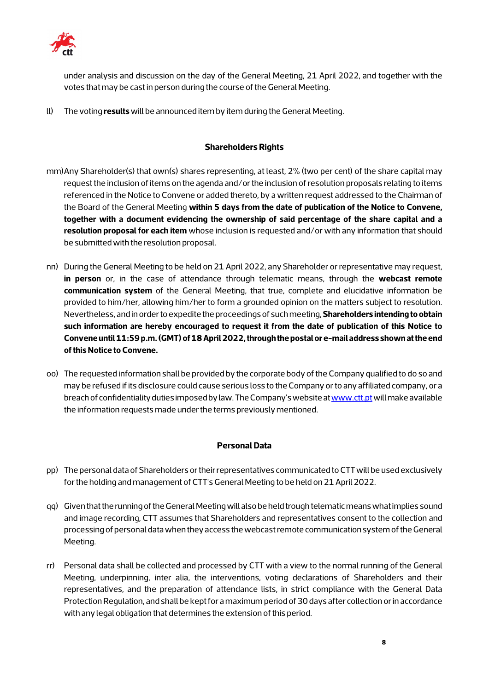

under analysis and discussion on the day of the General Meeting, 21 April 2022, and together with the votes that may be cast in person during the course of the General Meeting.

ll) The voting **results** will be announced item by item during the General Meeting.

## **Shareholders Rights**

- mm)Any Shareholder(s) that own(s) shares representing, at least, 2% (two per cent) of the share capital may request the inclusion of items on the agenda and/or the inclusion of resolution proposals relating to items referenced in the Notice to Convene or added thereto, by a written request addressed to the Chairman of the Board of the General Meeting **within 5 days from the date of publication of the Notice to Convene, together with a document evidencing the ownership of said percentage of the share capital and a resolution proposal for each item** whose inclusion is requested and/or with any information that should be submitted with the resolution proposal.
- nn) During the General Meeting to be held on 21 April 2022, any Shareholder or representative may request, **in person** or, in the case of attendance through telematic means, through the **webcast remote communication system** of the General Meeting, that true, complete and elucidative information be provided to him/her, allowing him/her to form a grounded opinion on the matters subject to resolution. Nevertheless, and in order to expedite the proceedings of such meeting, **Shareholders intending to obtain such information are hereby encouraged to request it from the date of publication of this Notice to Convene until 11:59p.m. (GMT) of 18 April 2022, through the postal or e-mail address shown at the end of this Notice to Convene.**
- oo) The requested information shall be provided by the corporate body of the Company qualified to do so and may be refused if its disclosure could cause serious loss to the Company or to any affiliated company, or a breach of confidentiality duties imposed by law. The Company's website at www.ctt.pt will make available the information requests made under the terms previously mentioned.

## **Personal Data**

- pp) The personal data of Shareholders or their representatives communicated to CTT will be used exclusively for the holding and management of CTT's General Meeting to be held on 21 April 2022.
- qq) Given that the running of the General Meeting will also be held trough telematic means what implies sound and image recording, CTT assumes that Shareholders and representatives consent to the collection and processing of personal data when they access the webcast remote communication systemof the General Meeting.
- rr) Personal data shall be collected and processed by CTT with a view to the normal running of the General Meeting, underpinning, inter alia, the interventions, voting declarations of Shareholders and their representatives, and the preparation of attendance lists, in strict compliance with the General Data Protection Regulation, and shall be kept for a maximum period of 30 days after collection or in accordance with any legal obligation that determines the extension of this period.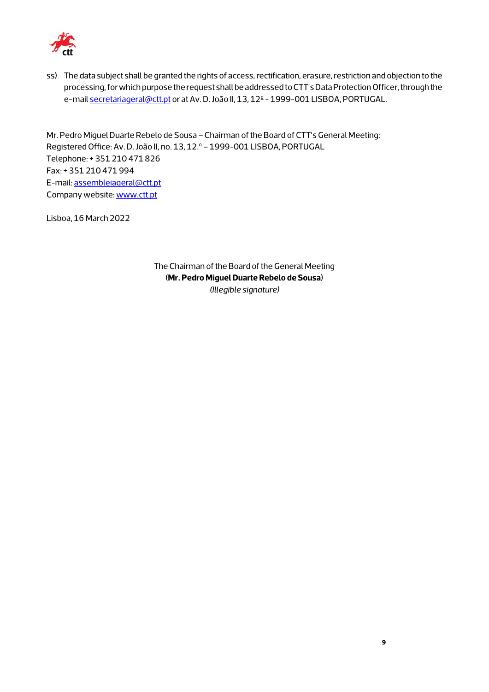

ss) The data subject shall be granted the rights of access, rectification, erasure, restriction and objection to the processing, for which purpose the request shall be addressed to CTT's Data Protection Officer, through the e-mail [secretariageral@ctt.pt](mailto:secretariageral@ctt.pt) or at Av. D. João II, 13, 12<sup>°</sup> - 1999-001 LISBOA, PORTUGAL.

Mr. Pedro Miguel Duarte Rebelo de Sousa –Chairman of the Board of CTT's General Meeting: Registered Office: Av. D. João II, no. 13, 12.º - 1999-001 LISBOA, PORTUGAL Telephone: + 351 210 471 826 Fax: + 351 210 471 994 E-mail[: assembleiageral@ctt.pt](mailto:assembleiageral@ctt.pt) Company website[: www.ctt.pt](http://www.ctt.pt/)

Lisboa, 16 March 2022

The Chairman of the Board of the General Meeting (**Mr. Pedro Miguel Duarte Rebelo de Sousa**) *(Illegible signature)*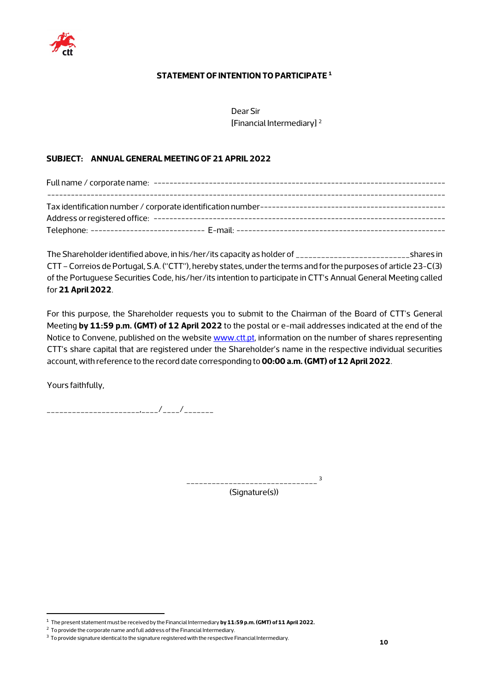

## **STATEMENT OF INTENTION TO PARTICIPATE [1](#page-9-0)**

Dear Sir [Financial Intermediary] [2](#page-9-1)

## **SUBJECT: ANNUAL GENERAL MEETING OF 21 APRIL 2022**

The Shareholder identified above, in his/her/its capacity as holder of \_\_\_\_\_\_\_\_\_\_\_\_\_\_\_\_\_\_\_\_\_\_\_\_\_\_\_shares in CTT –Correios de Portugal, S.A. ("CTT"), hereby states, under the terms and for the purposes of article 23-C(3) of the Portuguese Securities Code, his/her/its intention to participate in CTT's Annual General Meeting called for **21 April 2022**.

For this purpose, the Shareholder requests you to submit to the Chairman of the Board of CTT's General Meeting **by 11:59 p.m. (GMT) of 12 April 2022** to the postal or e-mail addresses indicated at the end of the Notice to Convene, published on the website [www.ctt.pt,](http://www.ctt.pt/) information on the number of shares representing CTT's share capital that are registered under the Shareholder's name in the respective individual securities account, with reference to the record date corresponding to **00:00 a.m. (GMT) of 12 April 2022**.

Yours faithfully,

\_\_\_\_\_\_\_\_\_\_\_\_\_\_\_\_\_\_\_\_\_\_,\_\_\_\_/\_\_\_\_/\_\_\_\_\_\_\_

\_\_\_\_\_\_\_\_\_\_\_\_\_\_\_\_\_\_\_\_\_\_\_\_\_\_\_\_\_\_\_ [3](#page-9-2)

(Signature(s))

<span id="page-9-0"></span><sup>1</sup> The present statement must be received by the Financial Intermediary **by 11:59 p.m. (GMT) of 11 April 2022.**

<span id="page-9-1"></span> $2$  To provide the corporate name and full address of the Financial Intermediary.

<span id="page-9-2"></span><sup>3</sup> To provide signature identical to the signature registered with the respective Financial Intermediary.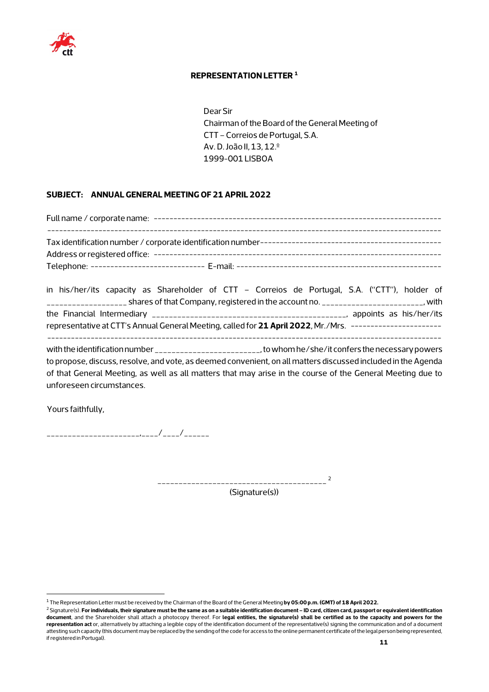

#### **REPRESENTATION LETTER [1](#page-10-0)**

Dear Sir Chairman of the Board of the General Meeting of CTT –Correios de Portugal, S.A. Av. D. João II, 13, 12.º 1999-001 LISBOA

## **SUBJECT: ANNUAL GENERAL MEETING OF 21 APRIL 2022**

Full name / corporate name: ------------------------------------------------------------------------- ---------------------------------------------------------------------------------------------------- Tax identification number / corporate identification number---------------------------------------------- Address or registered office: ------------------------------------------------------------------------- Telephone: ----------------------------- E-mail: ----------------------------------------------------

in his/her/its capacity as Shareholder of CTT – Correios de Portugal, S.A. ("CTT"), holder of \_\_\_\_\_\_\_\_\_\_\_\_\_\_\_\_\_\_\_ shares of that Company, registered in the account no. \_\_\_\_\_\_\_\_\_\_\_\_\_\_\_\_\_\_\_\_\_\_\_\_, with the Financial Intermediary \_\_\_\_\_\_\_\_\_\_\_\_\_\_\_\_\_\_\_\_\_\_\_\_\_\_\_\_\_\_\_\_\_\_\_\_\_\_\_\_\_\_\_\_\_\_, appoints as his/her/its representative at CTT's Annual General Meeting, called for **21 April 2022**, Mr./Mrs. ----------------------- --------------------------------------------------------------------------------------------------- with the identification number \_\_\_\_\_\_\_\_\_\_\_\_\_\_\_\_\_\_\_\_\_\_\_\_\_\_\_\_, to whom he/she/it confers the necessary powers

to propose, discuss, resolve, and vote, as deemed convenient, on all matters discussed included in the Agenda of that General Meeting, as well as all matters that may arise in the course of the General Meeting due to unforeseen circumstances.

Yours faithfully,

\_\_\_\_\_\_\_\_\_\_\_\_\_\_\_\_\_\_\_\_\_\_,\_\_\_\_/\_\_\_\_/\_\_\_\_\_\_

\_\_\_\_\_\_\_\_\_\_\_\_\_\_\_\_\_\_\_\_\_\_\_\_\_\_\_\_\_\_\_\_\_\_\_\_\_\_\_\_ [2](#page-10-1)

(Signature(s))

<sup>1</sup> The Representation Letter must be received by the Chairman of the Board of the General Meeting **by 05:00 p.m. (GMT) of 18 April 2022.**

<span id="page-10-1"></span><span id="page-10-0"></span><sup>2</sup> Signature(s). **Forindividuals, their signature must be the same as on a suitable identification document – ID card, citizen card, passport or equivalent identification document**, and the Shareholder shall attach a photocopy thereof. For **legal entities, the signature(s) shall be certified as to the capacity and powers for the representation act** or, alternatively by attaching a legible copy of the identification document of the representative(s) signing the communication and of a document attesting such capacity (this document may be replaced by the sending of the code for access to the online permanent certificate of the legal person being represented, if registered in Portugal).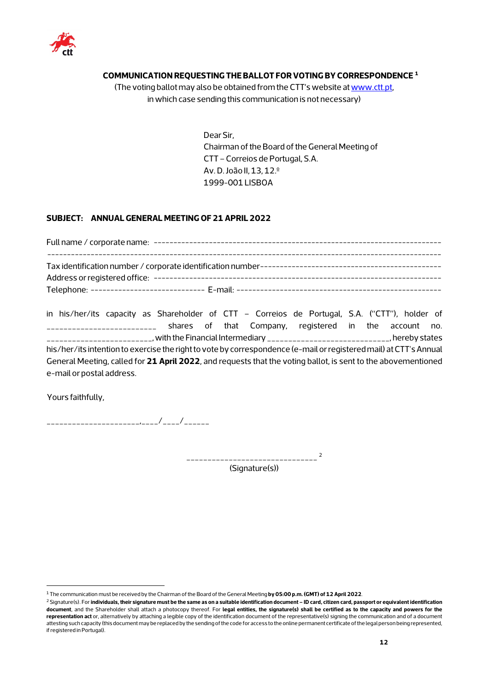

## **COMMUNICATION REQUESTING THE BALLOT FOR VOTING BY CORRESPONDENCE [1](#page-11-0)**

(The voting ballot may also be obtained from the CTT's website a[t www.ctt.pt,](http://www.ctt.pt/) in which case sending this communication is not necessary)

> Dear Sir, Chairman of the Board of the General Meeting of CTT –Correios de Portugal, S.A. Av. D. João II, 13, 12.º 1999-001 LISBOA

#### **SUBJECT: ANNUAL GENERAL MEETING OF 21 APRIL 2022**

|                               |  |  | in his/her/its capacity as Shareholder of CTT - Correios de Portugal, S.A. ("CTT"), holder of                     |  |  |  |
|-------------------------------|--|--|-------------------------------------------------------------------------------------------------------------------|--|--|--|
| _____________________________ |  |  | shares of that Company, registered in the account no.                                                             |  |  |  |
|                               |  |  |                                                                                                                   |  |  |  |
|                               |  |  | his/her/its intention to exercise the right to vote by correspondence (e-mail or registered mail) at CTT's Annual |  |  |  |
|                               |  |  | General Meeting, called for 21 April 2022, and requests that the voting ballot, is sent to the abovementioned     |  |  |  |
| e-mail or postal address.     |  |  |                                                                                                                   |  |  |  |

Yours faithfully,

\_\_\_\_\_\_\_\_\_\_\_\_\_\_\_\_\_\_\_\_\_\_,\_\_\_\_/\_\_\_\_/\_\_\_\_\_\_

\_\_\_\_\_\_\_\_\_\_\_\_\_\_\_\_\_\_\_\_\_\_\_\_\_\_\_\_\_\_\_ [2](#page-11-1)

(Signature(s))

<span id="page-11-0"></span><sup>1</sup> The communication must be received by the Chairman of the Board of the General Meeting **by 05:00 p.m. (GMT) of 12 April 2022**.

<span id="page-11-1"></span><sup>2</sup> Signature(s). For **individuals, their signature must be the same as on a suitable identification document – ID card, citizen card, passport or equivalent identification document**, and the Shareholder shall attach a photocopy thereof. For **legal entities, the signature(s) shall be certified as to the capacity and powers for the representation act** or, alternatively by attaching a legible copy of the identification document of the representative(s) signing the communication and of a document attesting such capacity (this document may be replaced by the sending of the code for access to the online permanent certificate ofthe legal person being represented, if registered in Portugal).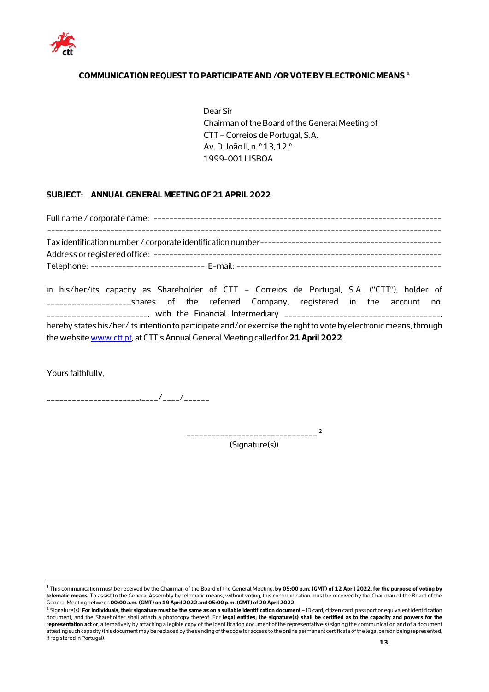

## **COMMUNICATION REQUEST TO PARTICIPATE AND /OR VOTE BY ELECTRONIC MEANS [1](#page-12-0)**

Dear Sir Chairman of the Board of the General Meeting of CTT –Correios de Portugal, S.A. Av. D. João II, n. º 13, 12.º 1999-001 LISBOA

#### **SUBJECT: ANNUAL GENERAL MEETING OF 21 APRIL 2022**

Full name / corporate name: ------------------------------------------------------------------------- ---------------------------------------------------------------------------------------------------- Tax identification number / corporate identification number---------------------------------------------- Address or registered office: ------------------------------------------------------------------------- Telephone: ----------------------------- E-mail: ----------------------------------------------------

in his/her/its capacity as Shareholder of CTT – Correios de Portugal, S.A. ("CTT"), holder of \_\_\_\_\_\_\_\_\_\_\_\_\_\_\_\_\_\_\_\_shares of the referred Company, registered in the account no. \_\_\_\_\_\_\_\_\_\_\_\_\_\_\_\_\_\_\_\_\_\_\_\_, with the Financial Intermediary \_\_\_\_\_\_\_\_\_\_\_\_\_\_\_\_\_\_\_\_\_\_\_\_\_\_\_\_\_\_\_\_\_\_\_\_\_, hereby states his/her/its intention to participate and/or exercise the right to vote by electronic means, through the websit[e www.ctt.pt,](http://www.ctt.pt/) at CTT's Annual General Meeting called for**21 April 2022**.

Yours faithfully,

\_\_\_\_\_\_\_\_\_\_\_\_\_\_\_\_\_\_\_\_\_\_,\_\_\_\_/\_\_\_\_/\_\_\_\_\_\_

\_\_\_\_\_\_\_\_\_\_\_\_\_\_\_\_\_\_\_\_\_\_\_\_\_\_\_\_\_\_\_ [2](#page-12-1) (Signature(s))

<span id="page-12-0"></span><sup>1</sup> This communication must be received by the Chairman of the Board of the General Meeting, **by 05:00 p.m. (GMT) of 12 April 2022, for the purpose of voting by telematic means**. To assist to the General Assembly by telematic means, without voting, this communication must be received by the Chairman of the Board of the General Meeting between**00:00 a.m. (GMT) on 19 April 2022 and 05:00 p.m. (GMT) of 20 April 2022**.

<span id="page-12-1"></span><sup>&</sup>lt;sup>2</sup> Signature(s). For individuals, their signature must be the same as on a suitable identification document - ID card, citizen card, passport or equivalent identification document, and the Shareholder shall attach a photocopy thereof. For **legal entities, the signature(s) shall be certified as to the capacity and powers for the representation act** or, alternatively by attaching a legible copy of the identification document of the representative(s) signing the communication and of a document attesting such capacity (this document may be replaced by the sending of the code for access to the online permanent certificate of the legal person being represented, if registered in Portugal).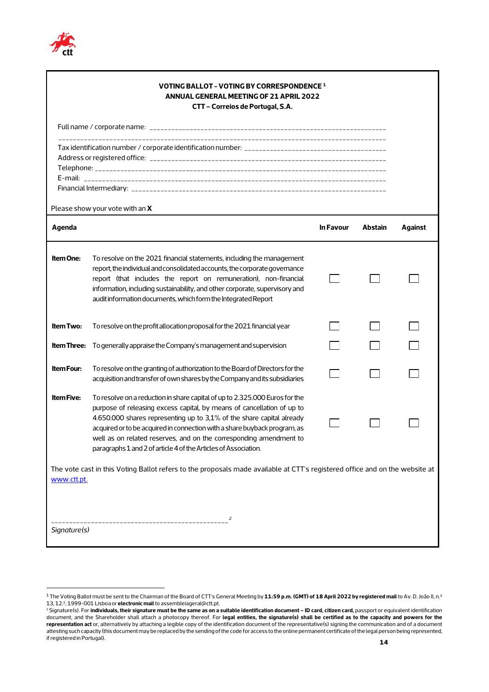

|                                                                                                                                            | VOTING BALLOT - VOTING BY CORRESPONDENCE 1<br><b>ANNUAL GENERAL MEETING OF 21 APRIL 2022</b><br>CTT - Correios de Portugal, S.A.                                                                                                                                                                                                                                                                                                                     |                  |                |         |  |  |
|--------------------------------------------------------------------------------------------------------------------------------------------|------------------------------------------------------------------------------------------------------------------------------------------------------------------------------------------------------------------------------------------------------------------------------------------------------------------------------------------------------------------------------------------------------------------------------------------------------|------------------|----------------|---------|--|--|
|                                                                                                                                            |                                                                                                                                                                                                                                                                                                                                                                                                                                                      |                  |                |         |  |  |
|                                                                                                                                            |                                                                                                                                                                                                                                                                                                                                                                                                                                                      |                  |                |         |  |  |
|                                                                                                                                            | Please show your vote with an X                                                                                                                                                                                                                                                                                                                                                                                                                      |                  |                |         |  |  |
| Agenda                                                                                                                                     |                                                                                                                                                                                                                                                                                                                                                                                                                                                      | <b>In Favour</b> | <b>Abstain</b> | Against |  |  |
| <b>Item One:</b>                                                                                                                           | To resolve on the 2021 financial statements, including the management<br>report, the individual and consolidated accounts, the corporate governance<br>report (that includes the report on remuneration), non-financial<br>information, including sustainability, and other corporate, supervisory and<br>audit information documents, which form the Integrated Report                                                                              |                  |                |         |  |  |
| <b>Item Two:</b>                                                                                                                           | To resolve on the profit allocation proposal for the 2021 financial year                                                                                                                                                                                                                                                                                                                                                                             |                  |                |         |  |  |
|                                                                                                                                            | <b>Item Three:</b> To generally appraise the Company's management and supervision                                                                                                                                                                                                                                                                                                                                                                    |                  |                |         |  |  |
| <b>Item Four:</b>                                                                                                                          | To resolve on the granting of authorization to the Board of Directors for the<br>acquisition and transfer of own shares by the Company and its subsidiaries                                                                                                                                                                                                                                                                                          |                  |                |         |  |  |
| <b>Item Five:</b>                                                                                                                          | To resolve on a reduction in share capital of up to 2.325.000 Euros for the<br>purpose of releasing excess capital, by means of cancellation of up to<br>4.650.000 shares representing up to 3,1% of the share capital already<br>acquired or to be acquired in connection with a share buyback program, as<br>well as on related reserves, and on the corresponding amendment to<br>paragraphs 1 and 2 of article 4 of the Articles of Association. |                  |                |         |  |  |
| The vote cast in this Voting Ballot refers to the proposals made available at CTT's registered office and on the website at<br>www.ctt.pt. |                                                                                                                                                                                                                                                                                                                                                                                                                                                      |                  |                |         |  |  |
| Signature(s)                                                                                                                               |                                                                                                                                                                                                                                                                                                                                                                                                                                                      |                  |                |         |  |  |

<span id="page-13-0"></span><sup>&</sup>lt;sup>1</sup> The Voting Ballot must be sent to the Chairman of the Board of CTT's General Meeting by 11:59 p.m. (GMT) of 18 April 2022 by registered mail to Av. D. João II, n.º 13, 12.º, 1999-001 Lisboa or **electronic mail** to assembleiageral@ctt.pt.

<span id="page-13-1"></span><sup>2</sup> Signature(s). For **individuals, their signature must be the same as on a suitable identification document – ID card, citizen card,** passport or equivalent identification document, and the Shareholder shall attach a photocopy thereof. For **legal entities, the signature(s) shall be certified as to the capacity and powers for the representation act** or, alternatively by attaching a legible copy of the identification document of the representative(s) signing the communication and of a document attesting such capacity (this document may be replaced by the sending of the code for access to the online permanent certificate of the legal person being represented, if registered in Portugal).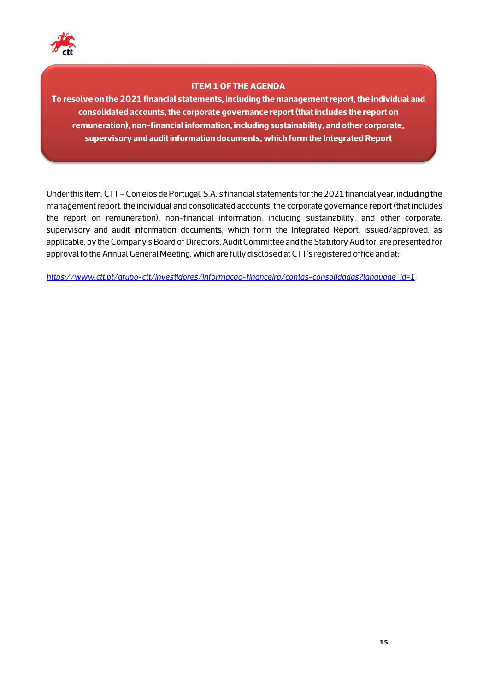

## **ITEM 1 OF THE AGENDA**

**To resolve on the 2021 financial statements, including the management report, the individual and consolidated accounts, the corporate governance report (that includes the report on remuneration), non-financial information, including sustainability, and other corporate, supervisory and audit information documents, which form the Integrated Report**

Under this item, CTT – Correios de Portugal, S.A.'s financial statements for the 2021 financial year, including the management report, the individual and consolidated accounts, the corporate governance report (that includes the report on remuneration), non-financial information, including sustainability, and other corporate, supervisory and audit information documents, which form the Integrated Report, issued/approved, as applicable, by the Company's Board of Directors, Audit Committee and the Statutory Auditor, are presented for approval to the Annual General Meeting, which are fully disclosed at CTT's registered office and at:

*[https://www.ctt.pt/grupo-ctt/investidores/informacao-financeira/contas-consolidadas?language\\_id=1](https://www.ctt.pt/grupo-ctt/investidores/informacao-financeira/contas-consolidadas?language_id=1)*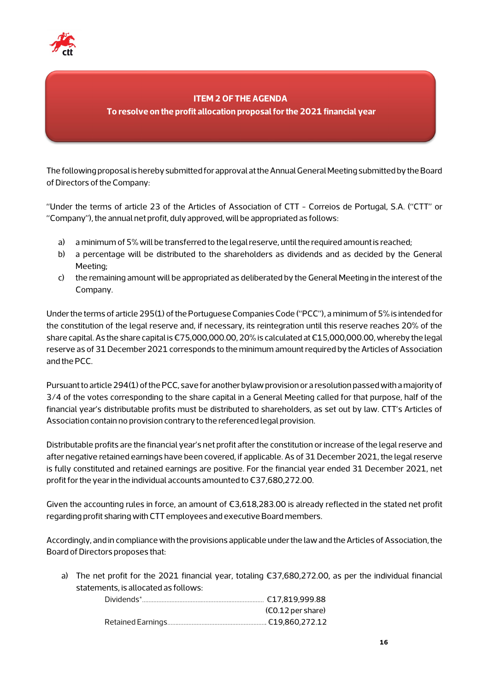

## **ITEM 2 OF THE AGENDA**

**To resolve on the profit allocation proposal for the 2021 financial year** 

The following proposal is hereby submitted for approval at the Annual General Meeting submitted by the Board of Directors of the Company:

"Under the terms of article 23 of the Articles of Association of CTT - Correios de Portugal, S.A. ("CTT" or "Company"), the annual net profit, duly approved, will be appropriated as follows:

- a) a minimum of 5% will be transferred to the legal reserve, until the required amount is reached;
- b) a percentage will be distributed to the shareholders as dividends and as decided by the General Meeting;
- c) the remaining amount will be appropriated as deliberated by the General Meeting in the interest of the Company.

Under the terms of article 295(1) of the Portuguese Companies Code ("PCC"), a minimum of 5% is intended for the constitution of the legal reserve and, if necessary, its reintegration until this reserve reaches 20% of the share capital. As the share capital is €75,000,000.00, 20% is calculated at €15,000,000.00, whereby the legal reserve as of 31 December 2021 corresponds to the minimum amount required by the Articles of Association and the PCC.

Pursuant to article 294(1) of the PCC, save for another bylaw provision or a resolution passed with a majority of 3/4 of the votes corresponding to the share capital in a General Meeting called for that purpose, half of the financial year's distributable profits must be distributed to shareholders, as set out by law. CTT's Articles of Association contain no provision contrary to the referenced legal provision.

Distributable profits are the financial year's net profit after the constitution or increase of the legal reserve and after negative retained earnings have been covered, if applicable. As of 31 December 2021, the legal reserve is fully constituted and retained earnings are positive. For the financial year ended 31 December 2021, net profit for the year in the individual accounts amounted to €37,680,272.00.

Given the accounting rules in force, an amount of €3,618,283.00 is already reflected in the stated net profit regarding profit sharing with CTT employees and executive Board members.

Accordingly, and in compliance with the provisions applicable under the law and the Articles of Association, the Board of Directors proposes that:

a) The net profit for the 2021 financial year, totaling €37,680,272.00, as per the individual financial statements, is allocated as follows:

| $(6.12 \,\mathrm{per\, share})$ |
|---------------------------------|
|                                 |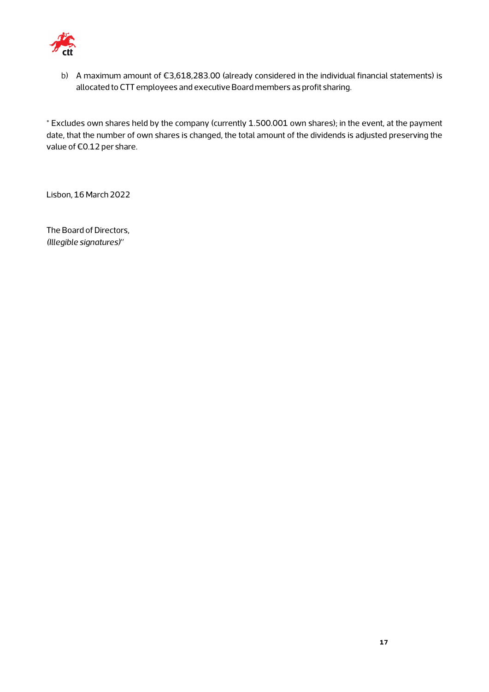

b) A maximum amount of €3,618,283.00 (already considered in the individual financial statements) is allocated to CTT employees and executive Board members as profit sharing.

\* Excludes own shares held by the company (currently 1.500.001 own shares); in the event, at the payment date, that the number of own shares is changed, the total amount of the dividends is adjusted preserving the value of €0.12 per share.

Lisbon, 16 March 2022

The Board of Directors, *(Illegible signatures)"*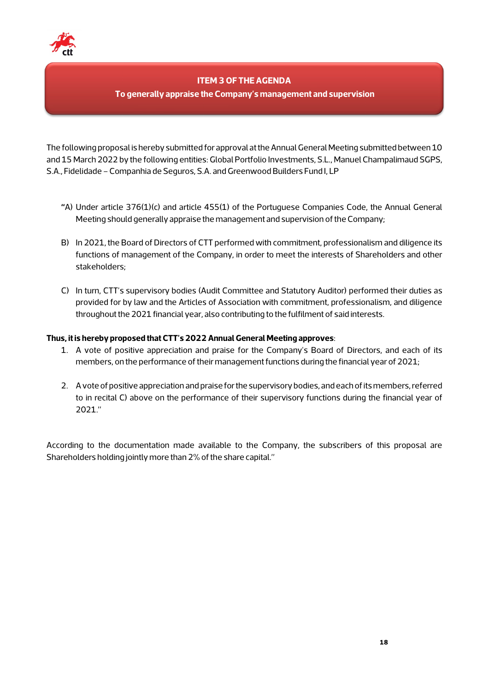

## **ITEM 3 OF THE AGENDA**

### **To generally appraise the Company's management and supervision**

The following proposal is hereby submitted for approval at the Annual General Meeting submitted between 10 and 15 March 2022 by the following entities: Global Portfolio Investments, S.L., Manuel Champalimaud SGPS, S.A., Fidelidade –Companhia de Seguros, S.A. and Greenwood Builders Fund I, LP

- **"**A) Under article 376(1)(c) and article 455(1) of the Portuguese Companies Code, the Annual General Meeting should generally appraise the management and supervision of the Company;
- B) In 2021, the Board of Directors of CTT performed with commitment, professionalism and diligence its functions of management of the Company, in order to meet the interests of Shareholders and other stakeholders;
- C) In turn, CTT's supervisory bodies (Audit Committee and Statutory Auditor) performed their duties as provided for by law and the Articles of Association with commitment, professionalism, and diligence throughout the 2021 financial year, also contributing to the fulfilment of said interests.

#### **Thus, it is hereby proposed that CTT's 2022Annual General Meeting approves**:

- 1. A vote of positive appreciation and praise for the Company's Board of Directors, and each of its members, on the performance of their management functions during the financial year of 2021;
- 2. A vote of positive appreciation and praise for the supervisory bodies, and each of its members, referred to in recital C) above on the performance of their supervisory functions during the financial year of 2021."

According to the documentation made available to the Company, the subscribers of this proposal are Shareholders holding jointly more than 2% of the share capital."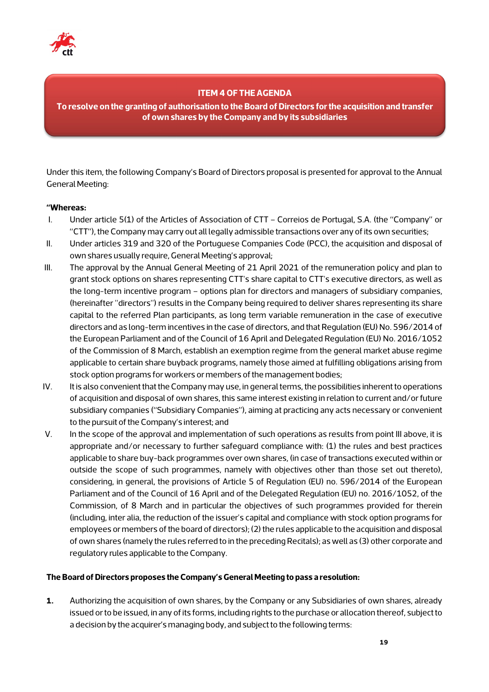

## **ITEM 4 OF THE AGENDA**

**To resolve on the granting of authorisation to the Board of Directors for the acquisition and transfer of own shares by the Company and by its subsidiaries**

Under this item, the following Company's Board of Directors proposal is presented for approval to the Annual General Meeting:

#### **"Whereas:**

- I. Under article 5(1) of the Articles of Association of CTT Correios de Portugal, S.A. (the "Company" or "CTT"), the Company may carry out all legally admissible transactions over any of its own securities;
- II. Under articles 319 and 320 of the Portuguese Companies Code (PCC), the acquisition and disposal of own shares usually require, General Meeting's approval;
- III. The approval by the Annual General Meeting of 21 April 2021 of the remuneration policy and plan to grant stock options on shares representing CTT's share capital to CTT's executive directors, as well as the long-term incentive program – options plan for directors and managers of subsidiary companies, (hereinafter "directors") results in the Company being required to deliver shares representing its share capital to the referred Plan participants, as long term variable remuneration in the case of executive directors and as long-term incentives in the case of directors, and that Regulation (EU) No. 596/2014 of the European Parliament and of the Council of 16 April and Delegated Regulation (EU) No. 2016/1052 of the Commission of 8 March, establish an exemption regime from the general market abuse regime applicable to certain share buyback programs, namely those aimed at fulfilling obligations arising from stock option programs for workers or members of the management bodies;
- IV. It is also convenient that the Company may use, in general terms, the possibilities inherent to operations of acquisition and disposal of own shares, this same interest existing in relation to current and/or future subsidiary companies ("Subsidiary Companies"), aiming at practicing any acts necessary or convenient to the pursuit of the Company's interest; and
- V. In the scope of the approval and implementation of such operations as results from point III above, it is appropriate and/or necessary to further safeguard compliance with: (1) the rules and best practices applicable to share buy-back programmes over own shares, (in case of transactions executed within or outside the scope of such programmes, namely with objectives other than those set out thereto), considering, in general, the provisions of Article 5 of Regulation (EU) no. 596/2014 of the European Parliament and of the Council of 16 April and of the Delegated Regulation (EU) no. 2016/1052, of the Commission, of 8 March and in particular the objectives of such programmes provided for therein (including, inter alia, the reduction of the issuer's capital and compliance with stock option programs for employees or members of the board of directors); (2) the rules applicable to the acquisition and disposal of own shares (namely the rules referred to in the preceding Recitals); as well as (3) other corporate and regulatory rules applicable to the Company.

#### **The Board of Directors proposes the Company's General Meeting to pass a resolution:**

**1.** Authorizing the acquisition of own shares, by the Company or any Subsidiaries of own shares, already issued or to be issued, in any of its forms, including rights to the purchase or allocation thereof, subject to a decision by the acquirer's managing body, and subject to the following terms: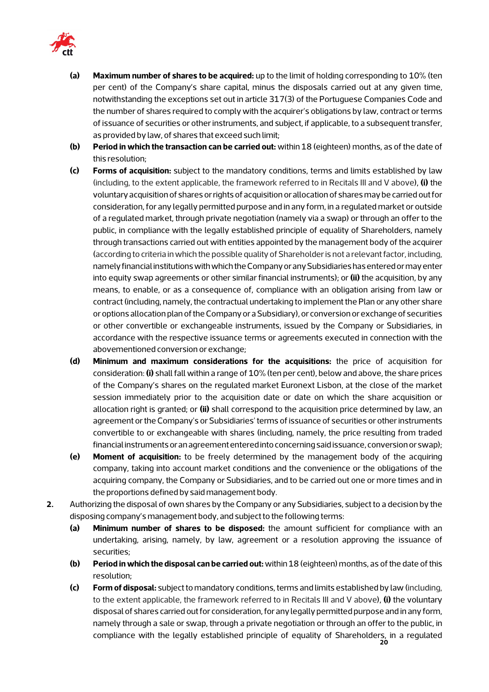

- **(a) Maximum number of shares to be acquired:** up to the limit of holding corresponding to 10% (ten per cent) of the Company's share capital, minus the disposals carried out at any given time, notwithstanding the exceptions set out in article 317(3) of the Portuguese Companies Code and the number of shares required to comply with the acquirer's obligations by law, contract or terms of issuance of securities or other instruments, and subject, if applicable, to a subsequent transfer, as provided by law, of shares that exceed such limit;
- **(b) Period in which the transaction can be carried out:** within 18 (eighteen) months, as of the date of this resolution;
- **(c) Forms of acquisition:** subject to the mandatory conditions, terms and limits established by law (including, to the extent applicable, the framework referred to in Recitals III and V above), **(i)** the voluntary acquisition of shares or rights of acquisition or allocation of shares may be carried out for consideration, for any legally permitted purpose and in any form, in a regulated market or outside of a regulated market, through private negotiation (namely via a swap) or through an offer to the public, in compliance with the legally established principle of equality of Shareholders, namely through transactions carried out with entities appointed by the management body of the acquirer (according to criteria in which the possible quality of Shareholder is not a relevant factor, including, namely financial institutions with which the Company or any Subsidiaries has entered or may enter into equity swap agreements or other similar financial instruments); or **(ii)** the acquisition, by any means, to enable, or as a consequence of, compliance with an obligation arising from law or contract (including, namely, the contractual undertaking to implement the Plan or any other share or options allocation plan of the Company or a Subsidiary), or conversion or exchange of securities or other convertible or exchangeable instruments, issued by the Company or Subsidiaries, in accordance with the respective issuance terms or agreements executed in connection with the abovementioned conversion or exchange;
- **(d) Minimum and maximum considerations for the acquisitions:** the price of acquisition for consideration: **(i)** shall fall within a range of 10% (ten per cent), below and above, the share prices of the Company's shares on the regulated market Euronext Lisbon, at the close of the market session immediately prior to the acquisition date or date on which the share acquisition or allocation right is granted; or **(ii)** shall correspond to the acquisition price determined by law, an agreement or the Company's or Subsidiaries' terms of issuance of securities or other instruments convertible to or exchangeable with shares (including, namely, the price resulting from traded financial instruments or an agreement entered into concerning said issuance, conversion or swap);
- **(e) Moment of acquisition:** to be freely determined by the management body of the acquiring company, taking into account market conditions and the convenience or the obligations of the acquiring company, the Company or Subsidiaries, and to be carried out one or more times and in the proportions defined by said management body.
- **2.** Authorizing the disposal of own shares by the Company or any Subsidiaries, subject to a decision by the disposing company's management body, and subject to the following terms:
	- **(a) Minimum number of shares to be disposed:** the amount sufficient for compliance with an undertaking, arising, namely, by law, agreement or a resolution approving the issuance of securities;
	- **(b) Period in which the disposal can be carried out:** within 18 (eighteen) months, as of the date of this resolution;
	- **20** compliance with the legally established principle of equality of Shareholders, in a regulated **(c) Form of disposal:** subject to mandatory conditions, terms and limits established by law (including, to the extent applicable, the framework referred to in Recitals III and V above), **(i)** the voluntary disposal of shares carried out for consideration, for any legally permitted purpose and in any form, namely through a sale or swap, through a private negotiation or through an offer to the public, in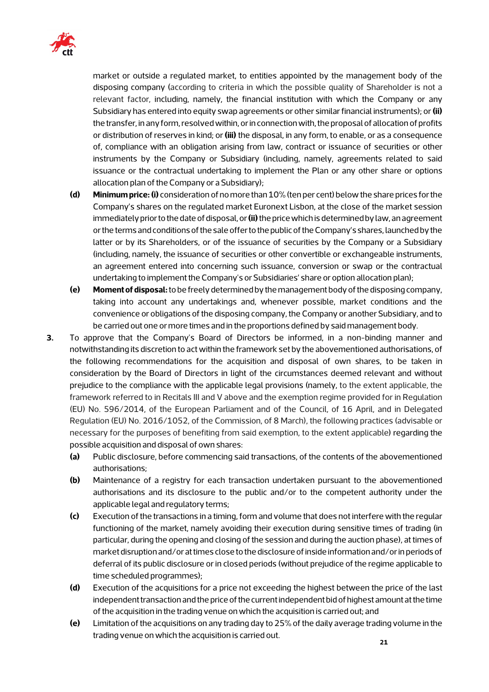

market or outside a regulated market, to entities appointed by the management body of the disposing company (according to criteria in which the possible quality of Shareholder is not a relevant factor, including, namely, the financial institution with which the Company or any Subsidiary has entered into equity swap agreements or other similar financial instruments); or **(ii)**  the transfer, in any form, resolved within, or in connection with, the proposal of allocation of profits or distribution of reserves in kind; or **(iii)** the disposal, in any form, to enable, or as a consequence of, compliance with an obligation arising from law, contract or issuance of securities or other instruments by the Company or Subsidiary (including, namely, agreements related to said issuance or the contractual undertaking to implement the Plan or any other share or options allocation plan of the Company or a Subsidiary);

- **(d) Minimum price: (i)** consideration of no more than 10% (ten per cent) below the share prices for the Company's shares on the regulated market Euronext Lisbon, at the close of the market session immediately prior to the date of disposal, or **(ii)** the price which is determined by law, an agreement or the terms and conditions of the sale offer to the public of the Company's shares, launched by the latter or by its Shareholders, or of the issuance of securities by the Company or a Subsidiary (including, namely, the issuance of securities or other convertible or exchangeable instruments, an agreement entered into concerning such issuance, conversion or swap or the contractual undertaking to implement the Company's or Subsidiaries' share or option allocation plan);
- **(e) Moment of disposal:** to be freely determined by the management body of the disposing company, taking into account any undertakings and, whenever possible, market conditions and the convenience or obligations of the disposing company, the Company or another Subsidiary, and to be carried out one or more times and in the proportions defined by said management body.
- **3.** To approve that the Company's Board of Directors be informed, in a non-binding manner and notwithstanding its discretion to act within the framework set by the abovementioned authorisations, of the following recommendations for the acquisition and disposal of own shares, to be taken in consideration by the Board of Directors in light of the circumstances deemed relevant and without prejudice to the compliance with the applicable legal provisions (namely, to the extent applicable, the framework referred to in Recitals III and V above and the exemption regime provided for in Regulation (EU) No. 596/2014, of the European Parliament and of the Council, of 16 April, and in Delegated Regulation (EU) No. 2016/1052, of the Commission, of 8 March), the following practices (advisable or necessary for the purposes of benefiting from said exemption, to the extent applicable) regarding the possible acquisition and disposal of own shares:
	- **(a)** Public disclosure, before commencing said transactions, of the contents of the abovementioned authorisations;
	- **(b)** Maintenance of a registry for each transaction undertaken pursuant to the abovementioned authorisations and its disclosure to the public and/or to the competent authority under the applicable legal and regulatory terms;
	- **(c)** Execution of the transactions in a timing, form and volume that does not interfere with the regular functioning of the market, namely avoiding their execution during sensitive times of trading (in particular, during the opening and closing of the session and during the auction phase), at times of market disruption and/or at times close to the disclosure of inside information and/or in periods of deferral of its public disclosure or in closed periods (without prejudice of the regime applicable to time scheduled programmes);
	- **(d)** Execution of the acquisitions for a price not exceeding the highest between the price of the last independent transaction and the price of the current independent bid of highest amount at the time of the acquisition in the trading venue on which the acquisition is carried out; and
	- **(e)** Limitation of the acquisitions on any trading day to 25% of the daily average trading volume in the trading venue on which the acquisition is carried out.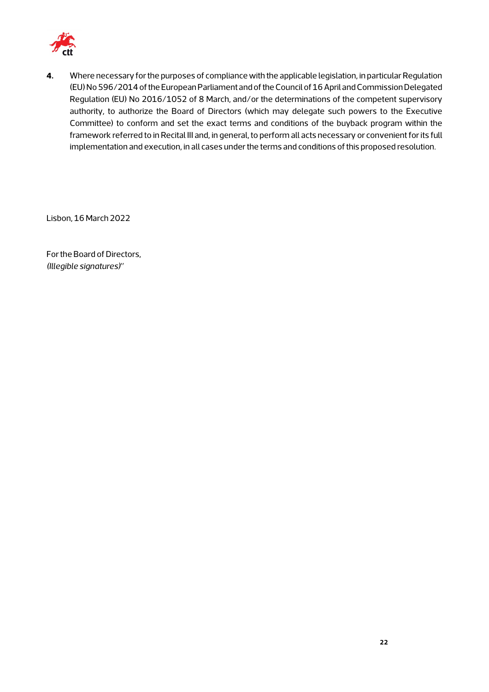

**4.** Where necessary for the purposes of compliance with the applicable legislation, in particular Regulation (EU) No 596/2014 of the European Parliament and of the Council of 16 April and Commission Delegated Regulation (EU) No 2016/1052 of 8 March, and/or the determinations of the competent supervisory authority, to authorize the Board of Directors (which may delegate such powers to the Executive Committee) to conform and set the exact terms and conditions of the buyback program within the framework referred to in Recital III and, in general, to perform all acts necessary or convenient for its full implementation and execution, in all cases under the terms and conditions of this proposed resolution.

Lisbon, 16 March 2022

For the Board of Directors, *(Illegible signatures)"*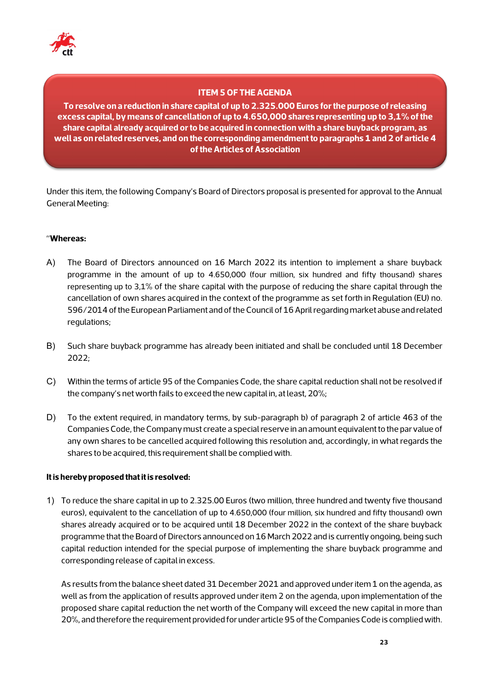

## **ITEM 5 OF THE AGENDA**

**To resolve on a reduction in share capital of up to 2.325.000 Euros for the purpose of releasing excess capital, by means of cancellation of up to 4.650,000 shares representing up to 3,1% of the share capital already acquired or to be acquired in connection with a share buyback program, as well as on related reserves, and on the corresponding amendment to paragraphs 1 and 2 of article 4 of the Articles of Association**

Under this item, the following Company's Board of Directors proposal is presented for approval to the Annual General Meeting:

#### "**Whereas:**

- A) The Board of Directors announced on 16 March 2022 its intention to implement a share buyback programme in the amount of up to 4.650,000 (four million, six hundred and fifty thousand) shares representing up to 3,1% of the share capital with the purpose of reducing the share capital through the cancellation of own shares acquired in the context of the programme as set forth in Regulation (EU) no. 596/2014 of the European Parliament and of the Council of 16 April regarding market abuse and related regulations;
- B) Such share buyback programme has already been initiated and shall be concluded until 18 December 2022;
- C) Within the terms of article 95 of the Companies Code, the share capital reduction shall not be resolved if the company's net worth fails to exceed the new capital in, at least, 20%;
- D) To the extent required, in mandatory terms, by sub-paragraph b) of paragraph 2 of article 463 of the Companies Code, the Company must create a special reserve in an amount equivalent to the par value of any own shares to be cancelled acquired following this resolution and, accordingly, in what regards the shares to be acquired, this requirement shall be complied with.

#### **It is hereby proposed that it is resolved:**

1) To reduce the share capital in up to 2.325.00 Euros (two million, three hundred and twenty five thousand euros), equivalent to the cancellation of up to 4.650,000 (four million, six hundred and fifty thousand) own shares already acquired or to be acquired until 18 December 2022 in the context of the share buyback programme that the Board of Directors announced on 16 March 2022 and is currently ongoing, being such capital reduction intended for the special purpose of implementing the share buyback programme and corresponding release of capital in excess.

As results from the balance sheet dated 31 December 2021 and approved under item 1 on the agenda, as well as from the application of results approved under item 2 on the agenda, upon implementation of the proposed share capital reduction the net worth of the Company will exceed the new capital in more than 20%, and therefore the requirement provided for under article 95 of the Companies Code is complied with.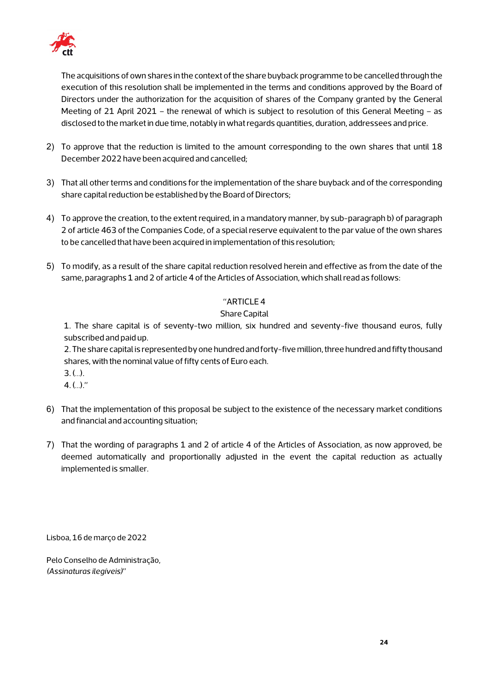

The acquisitions of own shares in the context of the share buyback programme to be cancelled through the execution of this resolution shall be implemented in the terms and conditions approved by the Board of Directors under the authorization for the acquisition of shares of the Company granted by the General Meeting of 21 April 2021 – the renewal of which is subject to resolution of this General Meeting – as disclosed to the market in due time, notably in what regards quantities, duration, addressees and price.

- 2) To approve that the reduction is limited to the amount corresponding to the own shares that until 18 December 2022 have been acquired and cancelled;
- 3) That all other terms and conditions for the implementation of the share buyback and of the corresponding share capital reduction be established by the Board of Directors;
- 4) To approve the creation, to the extent required, in a mandatory manner, by sub-paragraph b) of paragraph 2 of article 463 of the Companies Code, of a special reserve equivalent to the par value of the own shares to be cancelled that have been acquired in implementation of this resolution;
- 5) To modify, as a result of the share capital reduction resolved herein and effective as from the date of the same, paragraphs 1 and 2 of article 4 of the Articles of Association, which shall read as follows:

## "ARTICLE 4

## Share Capital

1. The share capital is of seventy-two million, six hundred and seventy-five thousand euros, fully subscribed and paid up.

2. The share capital is represented by one hundred and forty-five million, three hundred and fifty thousand shares, with the nominal value of fifty cents of Euro each.

- $3. (...)$ .
- $4. ( ...)$ ."
- 6) That the implementation of this proposal be subject to the existence of the necessary market conditions and financial and accounting situation;
- 7) That the wording of paragraphs 1 and 2 of article 4 of the Articles of Association, as now approved, be deemed automatically and proportionally adjusted in the event the capital reduction as actually implemented is smaller.

Lisboa, 16 de março de 2022

Pelo Conselho de Administração, *(Assinaturas ilegíveis)"*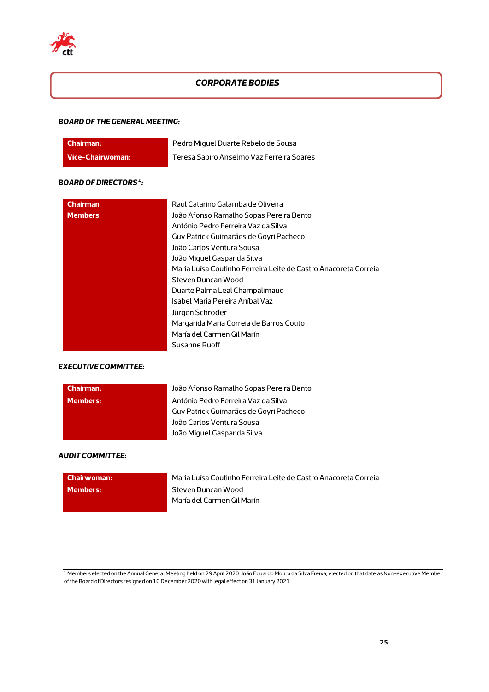

## *CORPORATE BODIES*

#### *BOARD OF THE GENERAL MEETING:*

| Chairman:        | Pedro Miguel Duarte Rebelo de Sousa       |
|------------------|-------------------------------------------|
| Vice-Chairwoman: | Teresa Sapiro Anselmo Vaz Ferreira Soares |

#### *BOARD OF DIRECTORS <sup>1</sup> :*

| <b>Chairman</b> | Raul Catarino Galamba de Oliveira                               |
|-----------------|-----------------------------------------------------------------|
| <b>Members</b>  | João Afonso Ramalho Sopas Pereira Bento                         |
|                 | António Pedro Ferreira Vaz da Silva                             |
|                 | Guy Patrick Guimarães de Goyri Pacheco                          |
|                 | João Carlos Ventura Sousa                                       |
|                 | João Miguel Gaspar da Silva                                     |
|                 | Maria Luísa Coutinho Ferreira Leite de Castro Anacoreta Correia |
|                 | Steven Duncan Wood                                              |
|                 | Duarte Palma Leal Champalimaud                                  |
|                 | Isabel Maria Pereira Aníbal Vaz                                 |
|                 | Jürgen Schröder                                                 |
|                 | Margarida Maria Correia de Barros Couto                         |
|                 | María del Carmen Gil Marín                                      |
|                 | Susanne Ruoff                                                   |

#### *EXECUTIVE COMMITTEE:*

| <b>Chairman:</b> | João Afonso Ramalho Sopas Pereira Bento |
|------------------|-----------------------------------------|
| <b>Members:</b>  | António Pedro Ferreira Vaz da Silva     |
|                  | Guy Patrick Guimarães de Goyri Pacheco  |
|                  | João Carlos Ventura Sousa               |
|                  | João Miquel Gaspar da Silva             |

#### *AUDIT COMMITTEE:*

| l Chairwoman: | Maria Luísa Coutinho Ferreira Leite de Castro Anacoreta Correia |
|---------------|-----------------------------------------------------------------|
| Members:      | Steven Duncan Wood<br>María del Carmen Gil Marín                |

<sup>1</sup> Members elected on the Annual General Meeting held on 29 April 2020. João Eduardo Moura da Silva Freixa, elected on that date as Non-executive Member of the Board of Directors resigned on 10 December 2020 with legal effect on 31 January 2021.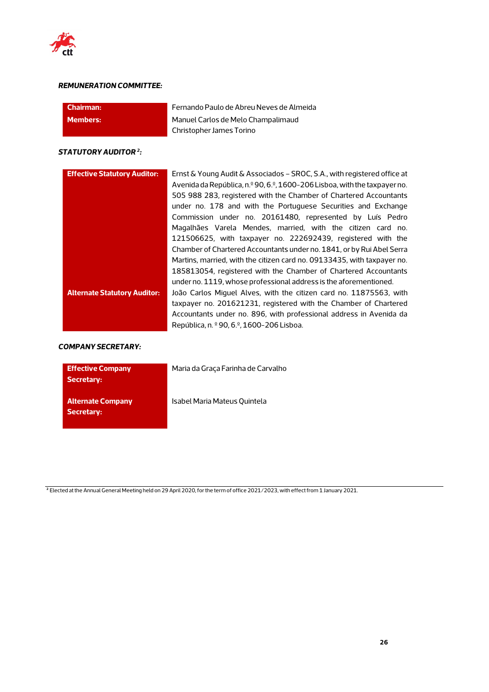

#### *REMUNERATION COMMITTEE:*

| l Chairman:     | Fernando Paulo de Abreu Neves de Almeida |
|-----------------|------------------------------------------|
| <b>Members:</b> | Manuel Carlos de Melo Champalimaud       |
|                 | Christopher James Torino                 |

#### *STATUTORY AUDITOR 2:*

| <b>Effective Statutory Auditor:</b> | Ernst & Young Audit & Associados – SROC, S.A., with registered office at<br>Avenida da República, n.º 90, 6.º, 1600-206 Lisboa, with the taxpayer no.<br>505 988 283, registered with the Chamber of Chartered Accountants<br>under no. 178 and with the Portuguese Securities and Exchange<br>Commission under no. 20161480, represented by Luís Pedro<br>Magalhães Varela Mendes, married, with the citizen card no.<br>121506625, with taxpayer no. 222692439, registered with the<br>Chamber of Chartered Accountants under no. 1841, or by Rui Abel Serra |
|-------------------------------------|----------------------------------------------------------------------------------------------------------------------------------------------------------------------------------------------------------------------------------------------------------------------------------------------------------------------------------------------------------------------------------------------------------------------------------------------------------------------------------------------------------------------------------------------------------------|
|                                     | Martins, married, with the citizen card no. 09133435, with taxpayer no.<br>185813054, registered with the Chamber of Chartered Accountants<br>under no. 1119, whose professional address is the aforementioned.                                                                                                                                                                                                                                                                                                                                                |
| <b>Alternate Statutory Auditor:</b> | João Carlos Miguel Alves, with the citizen card no. 11875563, with<br>taxpayer no. 201621231, registered with the Chamber of Chartered<br>Accountants under no. 896, with professional address in Avenida da<br>República, n. º 90, 6.º, 1600-206 Lisboa.                                                                                                                                                                                                                                                                                                      |

#### *COMPANY SECRETARY:*

| <b>Effective Company</b><br>Secretary: | Maria da Graça Farinha de Carvalho |
|----------------------------------------|------------------------------------|
| Alternate Company<br>Secretary:        | Isabel Maria Mateus Quintela       |

**<sup>2</sup>** Elected at the Annual General Meeting held on 29 April 2020, for the term of office 2021/2023, with effect from 1 January 2021.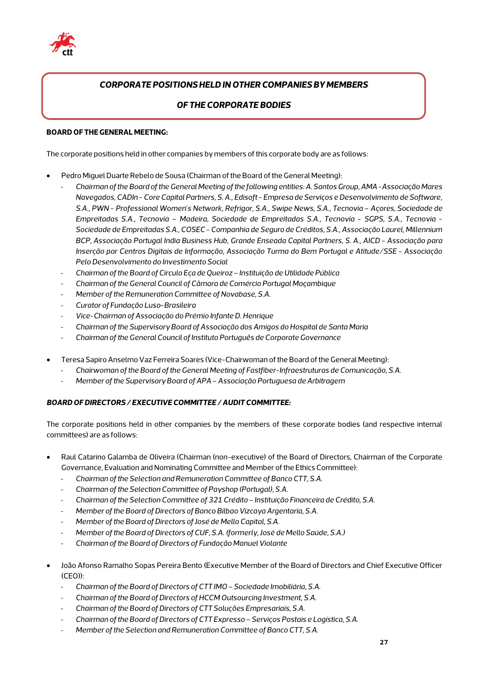

## *CORPORATE POSITIONS HELD IN OTHER COMPANIES BY MEMBERS*

#### *OF THE CORPORATE BODIES*

#### **BOARD OF THE GENERAL MEETING:**

The corporate positions held in other companies by members of this corporate body are as follows:

- Pedro Miguel Duarte Rebelo de Sousa (Chairman of the Board of the General Meeting):
	- *Chairman of the Board of the General Meeting of the following entities: A. Santos Group, AMA -Associação Mares Navegados, CADIn - Core Capital Partners, S. A., Edisoft - Empresa de Serviços e Desenvolvimento de Software, S.A., PWN - Professional Women's Network, Refrigor, S.A., Swipe News, S.A., Tecnovia – Açores, Sociedade de Empreitadas S.A., Tecnovia – Madeira, Sociedade de Empreitadas S.A., Tecnovia - SGPS, S.A., Tecnovia - Sociedade de Empreitadas S.A., COSEC - Companhia de Seguro de Créditos, S.A., Associação Laurel, Millennium BCP, Associação Portugal India Business Hub, Grande Enseada Capital Partners, S. A., AICD - Associação para Inserção por Centros Digitais de Informação, Associação Turma do Bem Portugal e Atitude/SSE - Associação Pelo Desenvolvimento do Investimento Social*
	- *Chairman of the Board of Círculo Eça de Queiroz – Instituição de Utilidade Pública*
	- *Chairman of the General Council of Câmara de Comércio Portugal Moçambique*
	- *Member of the Remuneration Committee of Novabase, S.A.*
	- *Curator of Fundação Luso-Brasileira*
	- *Vice-Chairman of Associação do Prémio Infante D. Henrique*
	- *Chairman of the Supervisory Board of Associação dos Amigos do Hospital de Santa Maria*
	- *Chairman of the General Council of Instituto Português de Corporate Governance*
- Teresa Sapiro Anselmo Vaz Ferreira Soares (Vice-Chairwoman of the Board of the General Meeting):
	- *Chairwoman of the Board of the General Meeting of Fastfiber-Infraestruturas de Comunicação, S.A.*
	- *Member of the Supervisory Board of APA –Associação Portuguesa de Arbitragem*

#### *BOARD OF DIRECTORS / EXECUTIVE COMMITTEE / AUDIT COMMITTEE:*

The corporate positions held in other companies by the members of these corporate bodies (and respective internal committees) are as follows:

- Raul Catarino Galamba de Oliveira (Chairman (non-executive) of the Board of Directors, Chairman of the Corporate Governance, Evaluation and Nominating Committee and Member of the Ethics Committee):
	- *Chairman of the Selection and Remuneration Committee of Banco CTT, S.A.*
	- *Chairman of the Selection Committee of Payshop (Portugal), S.A.*
	- *Chairman of the Selection Committee of 321 Crédito – Instituição Financeira de Crédito, S.A.*
	- *Member of the Board of Directors of Banco Bilbao Vizcaya Argentaria, S.A.*
	- *Member of the Board of Directors of José de Mello Capital, S.A.*
	- *Member of the Board of Directors of CUF, S.A. (formerly, José de Mello Saúde, S.A.)*
	- *Chairman of the Board of Directors of Fundação Manuel Violante*
- João Afonso Ramalho Sopas Pereira Bento (Executive Member of the Board of Directors and Chief Executive Officer (CEO)):
	- *Chairman of the Board of Directors of CTT IMO – Sociedade Imobiliária, S.A.*
	- *Chairman of the Board of Directors of HCCM Outsourcing Investment, S.A.*
	- *Chairman of the Board of Directors of CTT Soluções Empresariais, S.A.*
	- *Chairman of the Board of Directors of CTT Expresso – Serviços Postais e Logística, S.A.*
	- Member of the Selection and Remuneration Committee of Banco CTT, S.A.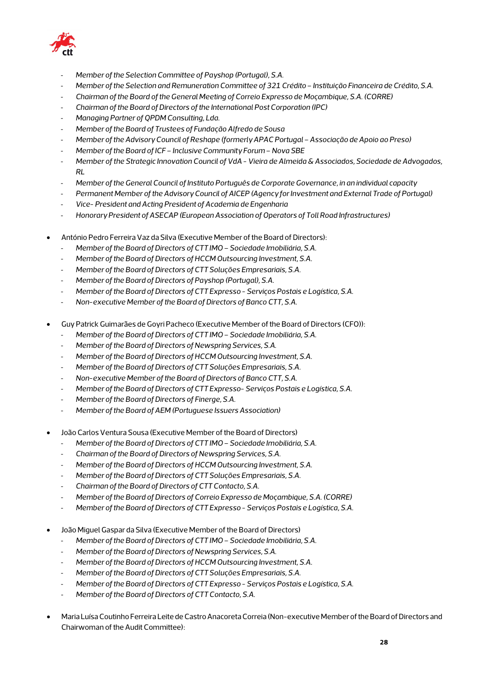

- *Member of the Selection Committee of Payshop (Portugal), S.A.*
- *Member of the Selection and Remuneration Committee of 321 Crédito – Instituição Financeira de Crédito, S.A.*
- *Chairman of the Board of the General Meeting of Correio Expresso de Moçambique, S.A. (CORRE)*
- *Chairman of the Board of Directors of the International Post Corporation (IPC)*
- *Managing Partner of QPDM Consulting, Lda.*
- *Member of the Board of Trustees of Fundação Alfredo de Sousa*
- Member of the Advisory Council of Reshape (formerly APAC Portugal Associação de Apoio ao Preso)
- *Member of the Board of ICF – Inclusive Community Forum – Nova SBE*
- *Member of the Strategic Innovation Council of VdA - Vieira de Almeida & Associados, Sociedade de Advogados, RL*
- *Member of the General Council of Instituto Português de Corporate Governance, in an individual capacity*
- *Permanent Member of the Advisory Council of AICEP (Agency for Investment and External Trade of Portugal)*
- *Vice- President and Acting President of Academia de Engenharia*
- *Honorary President of ASECAP (European Association of Operators of Toll Road Infrastructures)*
- António Pedro Ferreira Vaz da Silva (Executive Member of the Board of Directors):
	- *Member of the Board of Directors of CTT IMO – Sociedade Imobiliária, S.A.*
	- *Member of the Board of Directors of HCCM Outsourcing Investment, S.A.*
	- *Member of the Board of Directors of CTT Soluções Empresariais, S.A.*
	- *Member of the Board of Directors of Payshop (Portugal), S.A.*
	- *Member of the Board of Directors of CTT Expresso - Serviços Postais e Logística, S.A.*
	- *Non-executive Member of the Board of Directors of Banco CTT, S.A.*
- Guy Patrick Guimarães de Goyri Pacheco (Executive Member of the Board of Directors (CFO)):
	- *Member of the Board of Directors of CTT IMO – Sociedade Imobiliária, S.A.*
	- *Member of the Board of Directors of Newspring Services, S.A.*
	- *Member of the Board of Directors of HCCM Outsourcing Investment, S.A.*
	- *Member of the Board of Directors of CTT Soluções Empresariais, S.A.*
	- *Non-executive Member of the Board of Directors of Banco CTT, S.A.*
	- *Member of the Board of Directors of CTT Expresso- Serviços Postais e Logística, S.A.*
	- *Member of the Board of Directors of Finerge, S.A.*
	- *Member of the Board of AEM (Portuguese Issuers Association)*
- João Carlos Ventura Sousa (Executive Member of the Board of Directors)
	- *Member of the Board of Directors of CTT IMO – Sociedade Imobiliária, S.A.*
	- *Chairman of the Board of Directors of Newspring Services, S.A.*
	- *Member of the Board of Directors of HCCM Outsourcing Investment, S.A.*
	- *Member of the Board of Directors of CTT Soluções Empresariais, S.A.*
	- *Chairman of the Board of Directors of CTT Contacto, S.A.*
	- *Member of the Board of Directors of Correio Expresso de Moçambique, S.A. (CORRE)*
	- *Member of the Board of Directors of CTT Expresso - Serviços Postais e Logística, S.A.*
- João Miguel Gaspar da Silva (Executive Member of the Board of Directors)
	- *Member of the Board of Directors of CTT IMO – Sociedade Imobiliária, S.A.*
	- *Member of the Board of Directors of Newspring Services, S.A.*
	- *Member of the Board of Directors of HCCM Outsourcing Investment, S.A.*
	- *Member of the Board of Directors of CTT Soluções Empresariais, S.A.*
	- *Member of the Board of Directors of CTT Expresso - Serviços Postais e Logística, S.A.*
	- *Member of the Board of Directors of CTT Contacto, S.A.*
- Maria Luísa Coutinho Ferreira Leite de Castro Anacoreta Correia (Non-executive Member of the Board of Directors and Chairwoman of the Audit Committee):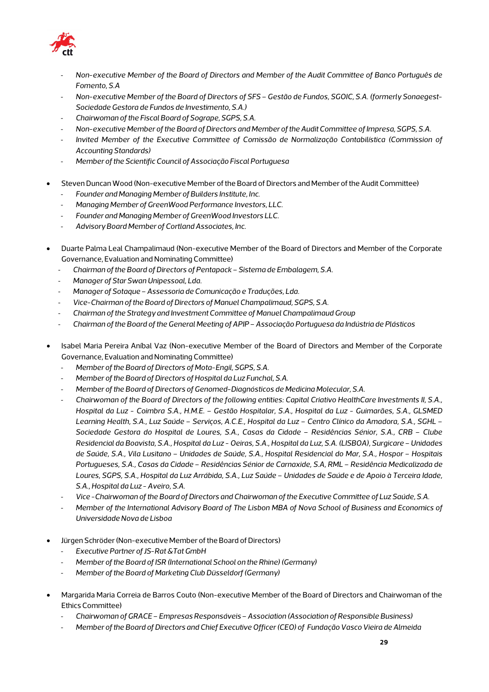

- *Non-executive Member of the Board of Directors and Member of the Audit Committee of Banco Português de Fomento, S.A*
- *Non-executive Member of the Board of Directors of SFS – Gestão de Fundos, SGOIC, S.A. (formerly Sonaegest-Sociedade Gestora de Fundos de Investimento, S.A.)*
- *Chairwoman of the Fiscal Board of Sogrape, SGPS, S.A.*
- *Non-executive Member of the Board of Directors and Member of the Audit Committee of Impresa, SGPS, S.A.*
- *Invited Member of the Executive Committee of Comissão de Normalização Contabilística (Commission of Accounting Standards)*
- *Member of the Scientific Council of Associação Fiscal Portuguesa*
- Steven Duncan Wood (Non-executive Member of the Board of Directors and Member of the Audit Committee)
	- *Founder and Managing Member of Builders Institute, Inc.*
	- *Managing Member of GreenWood Performance Investors, LLC.*
	- *Founder and Managing Member of GreenWood Investors LLC.*
	- *Advisory Board Member of Cortland Associates, Inc.*
- Duarte Palma Leal Champalimaud (Non-executive Member of the Board of Directors and Member of the Corporate Governance, Evaluation and Nominating Committee)
	- *Chairman of the Board of Directors of Pentapack – Sistema de Embalagem, S.A.*
	- *Manager of Star Swan Unipessoal, Lda.*
	- *Manager of Sotaque –Assessoria de Comunicação e Traduções, Lda.*
	- *Vice-Chairman of the Board of Directors of Manuel Champalimaud, SGPS, S.A.*
	- *Chairman of the Strategy and Investment Committee of Manuel Champalimaud Group*
	- *Chairman of the Board of the General Meeting of APIP –Associação Portuguesa da Indústria de Plásticos*
- Isabel Maria Pereira Aníbal Vaz (Non-executive Member of the Board of Directors and Member of the Corporate Governance, Evaluation and Nominating Committee)
	- Member of the Board of Directors of Mota-Engil, SGPS, S.A.
	- *Member of the Board of Directors of Hospital da Luz Funchal, S.A.*
	- *Member of the Board of Directors of Genomed-Diagnósticos de Medicina Molecular, S.A.*
	- *Chairwoman of the Board of Directors of the following entities: Capital Criativo HealthCare Investments II, S.A., Hospital da Luz - Coimbra S.A., H.M.E. – Gestão Hospitalar, S.A., Hospital da Luz - Guimarães, S.A., GLSMED Learning Health, S.A., Luz Saúde – Serviços, A.C.E., Hospital da Luz – Centro Clínico da Amadora, S.A., SGHL – Sociedade Gestora do Hospital de Loures, S.A., Casas da Cidade – Residências Sénior, S.A., CRB – Clube Residencial da Boavista, S.A., Hospital da Luz - Oeiras, S.A., Hospital da Luz, S.A. (LISBOA), Surgicare – Unidades de Saúde, S.A., Vila Lusitano – Unidades de Saúde, S.A., Hospital Residencial do Mar, S.A., Hospor – Hospitais Portugueses, S.A., Casas da Cidade – Residências Sénior de Carnaxide, S.A, RML – Residência Medicalizada de Loures, SGPS, S.A., Hospital da Luz Arrábida, S.A., Luz Saúde – Unidades de Saúde e de Apoio à Terceira Idade, S.A., Hospital da Luz -Aveiro, S.A.*
	- *Vice -Chairwoman of the Board of Directors and Chairwoman of the Executive Committee of Luz Saúde, S.A.*
	- *Member of the International Advisory Board of The Lisbon MBA of Nova School of Business and Economics of Universidade Nova de Lisboa*
- Jürgen Schröder (Non-executive Member of the Board of Directors)
	- *Executive Partner of JS-Rat &Tat GmbH*
	- *Member of the Board of ISR (International School on the Rhine) (Germany)*
	- *Member of the Board of Marketing Club Düsseldorf (Germany)*
- Margarida Maria Correia de Barros Couto (Non-executive Member of the Board of Directors and Chairwoman of the Ethics Committee)
	- *Chairwoman of GRACE – Empresas Responsáveis –Association (Association of Responsible Business)*
	- *Member of the Board of Directors and Chief Executive Officer (CEO) of Fundação Vasco Vieira de Almeida*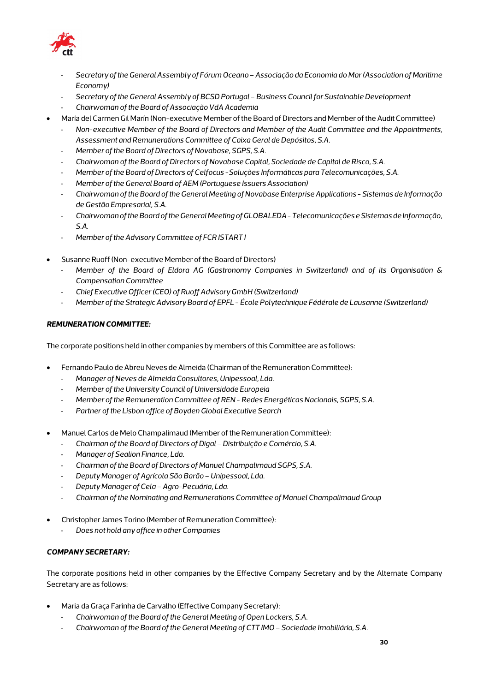

- *Secretary of the General Assembly of Fórum Oceano –Associação da Economia do Mar(Association of Maritime Economy)*
- *Secretary of the General Assembly of BCSD Portugal – Business Council for Sustainable Development*
- *Chairwoman of the Board of Associação VdA Academia*
- María del Carmen Gil Marín (Non-executive Member of the Board of Directors and Member of the Audit Committee)
	- *Non-executive Member of the Board of Directors and Member of the Audit Committee and the Appointments, Assessment and Remunerations Committee of Caixa Geral de Depósitos, S.A.*
	- *Member of the Board of Directors of Novabase, SGPS, S.A.*
	- *Chairwoman of the Board of Directors of Novabase Capital, Sociedade de Capital de Risco, S.A.*
	- *Member of the Board of Directors of Celfocus -Soluções Informáticas para Telecomunicações, S.A.*
	- *Member of the General Board of AEM (Portuguese Issuers Association)*
	- *Chairwoman of the Board of the General Meeting of Novabase Enterprise Applications - Sistemas de Informação de Gestão Empresarial, S.A.*
	- *Chairwoman of the Board of the General Meeting of GLOBALEDA -Telecomunicações e Sistemas de Informação, S.A.*
	- *Member of the Advisory Committee of FCR ISTART I*
- Susanne Ruoff (Non-executive Member of the Board of Directors)
	- *Member of the Board of Eldora AG (Gastronomy Companies in Switzerland) and of its Organisation & Compensation Committee*
	- *Chief Executive Officer (CEO) of Ruoff Advisory GmbH (Switzerland)*
	- *Member of the Strategic Advisory Board of EPFL - École Polytechnique Fédérale de Lausanne (Switzerland)*

#### *REMUNERATION COMMITTEE:*

The corporate positions held in other companies by members of this Committee are as follows:

- Fernando Paulo de Abreu Neves de Almeida (Chairman of the Remuneration Committee):
	- *Manager ofNeves de Almeida Consultores, Unipessoal, Lda.*
	- *Member of the University Council of Universidade Europeia*
	- *Member of the Remuneration Committee of REN - Redes Energéticas Nacionais, SGPS, S.A.*
	- *Partner of the Lisbon office of Boyden Global Executive Search*
- Manuel Carlos de Melo Champalimaud (Member of the Remuneration Committee):
	- *Chairman of the Board of Directors of Digal –Distribuição e Comércio, S.A.*
	- *Manager of Sealion Finance, Lda.*
	- *Chairman of the Board of Directors of Manuel Champalimaud SGPS, S.A.*
	- *Deputy Manager of Agrícola São Barão –Unipessoal, Lda.*
	- *Deputy Manager of Cela –Agro-Pecuária, Lda.*
	- *Chairman of the Nominating and Remunerations Committee of Manuel Champalimaud Group*
- Christopher James Torino (Member of Remuneration Committee):
	- *Does not hold any office in other Companies*

#### *COMPANY SECRETARY:*

The corporate positions held in other companies by the Effective Company Secretary and by the Alternate Company Secretary are as follows:

- Maria da Graça Farinha de Carvalho (Effective Company Secretary):
	- *Chairwoman of the Board of the General Meeting of Open Lockers, S.A.*
	- *Chairwoman of the Board of the General Meeting of CTT IMO – Sociedade Imobiliária, S.A.*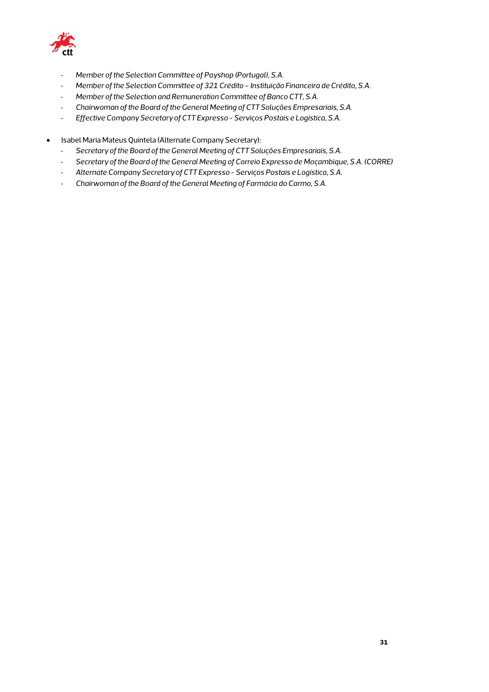

- *Member of the Selection Committee of Payshop (Portugal), S.A.*
- *Member of the Selection Committee of 321 Crédito – Instituição Financeira de Crédito, S.A.*
- *Member of the Selection and Remuneration Committee of Banco CTT, S.A.*
- *Chairwoman of the Board of the General Meeting of CTT Soluções Empresariais, S.A.*
- *Effective Company Secretary of CTT Expresso - Serviços Postais e Logística, S.A.*
- Isabel Maria Mateus Quintela (Alternate Company Secretary):
	- *Secretary of the Board of the General Meeting of CTT Soluções Empresariais, S.A.*
	- *Secretary of the Board of the General Meeting of Correio Expresso de Moçambique, S.A. (CORRE)*
	- *Alternate Company Secretary of CTT Expresso - Serviços Postais e Logística, S.A.*
	- *Chairwoman of the Board of the General Meeting of Farmácia do Carmo, S.A.*